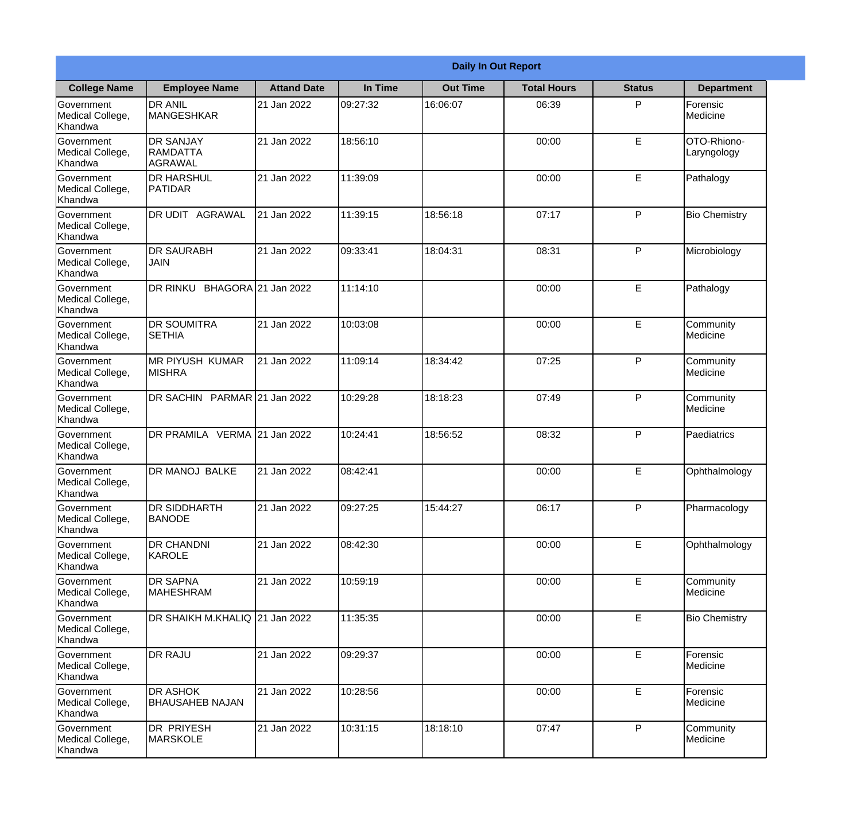|                                                  |                                           |                    |          | <b>Daily In Out Report</b> |                    |               |                            |
|--------------------------------------------------|-------------------------------------------|--------------------|----------|----------------------------|--------------------|---------------|----------------------------|
| <b>College Name</b>                              | <b>Employee Name</b>                      | <b>Attand Date</b> | In Time  | <b>Out Time</b>            | <b>Total Hours</b> | <b>Status</b> | <b>Department</b>          |
| Government<br>Medical College,<br>Khandwa        | <b>DR ANIL</b><br><b>MANGESHKAR</b>       | 21 Jan 2022        | 09:27:32 | 16:06:07                   | 06:39              | P             | Forensic<br>Medicine       |
| Government<br>Medical College,<br>Khandwa        | <b>DR SANJAY</b><br>RAMDATTA<br>AGRAWAL   | 21 Jan 2022        | 18:56:10 |                            | 00:00              | E             | OTO-Rhiono-<br>Laryngology |
| <b>Government</b><br>Medical College,<br>Khandwa | <b>DR HARSHUL</b><br>PATIDAR              | 21 Jan 2022        | 11:39:09 |                            | 00:00              | E             | Pathalogy                  |
| <b>Government</b><br>Medical College,<br>Khandwa | IDR UDIT<br><b>AGRAWAL</b>                | 21 Jan 2022        | 11:39:15 | 18:56:18                   | 07:17              | P             | <b>Bio Chemistry</b>       |
| Government<br>Medical College,<br>Khandwa        | <b>DR SAURABH</b><br>JAIN                 | 21 Jan 2022        | 09:33:41 | 18:04:31                   | 08:31              | P             | Microbiology               |
| Government<br>Medical College,<br>Khandwa        | DR RINKU BHAGORA 21 Jan 2022              |                    | 11:14:10 |                            | 00:00              | E             | Pathalogy                  |
| Government<br>Medical College,<br>Khandwa        | <b>DR SOUMITRA</b><br><b>SETHIA</b>       | 21 Jan 2022        | 10:03:08 |                            | 00:00              | E             | Community<br>Medicine      |
| <b>Government</b><br>Medical College,<br>Khandwa | MR PIYUSH KUMAR<br><b>MISHRA</b>          | 21 Jan 2022        | 11:09:14 | 18:34:42                   | 07:25              | P             | Community<br>Medicine      |
| Government<br>Medical College,<br>Khandwa        | DR SACHIN PARMAR 21 Jan 2022              |                    | 10:29:28 | 18:18:23                   | 07:49              | P             | Community<br>Medicine      |
| Government<br>Medical College,<br>Khandwa        | DR PRAMILA VERMA 21 Jan 2022              |                    | 10:24:41 | 18:56:52                   | 08:32              | P             | Paediatrics                |
| Government<br>Medical College,<br>Khandwa        | <b>DR MANOJ BALKE</b>                     | 21 Jan 2022        | 08:42:41 |                            | 00:00              | E             | Ophthalmology              |
| Government<br>Medical College,<br>Khandwa        | <b>DR SIDDHARTH</b><br><b>BANODE</b>      | 21 Jan 2022        | 09:27:25 | 15:44:27                   | 06:17              | P             | Pharmacology               |
| Government<br>Medical College,<br>Khandwa        | <b>DR CHANDNI</b><br>KAROLE               | 21 Jan 2022        | 08:42:30 |                            | 00:00              | E             | Ophthalmology              |
| Government<br>Medical College,<br>Khandwa        | <b>DR SAPNA</b><br><b>MAHESHRAM</b>       | 21 Jan 2022        | 10:59:19 |                            | 00:00              | $\mathsf E$   | Community<br>Medicine      |
| Government<br>Medical College,<br>Khandwa        | DR SHAIKH M.KHALIQ 21 Jan 2022            |                    | 11:35:35 |                            | 00:00              | $\mathsf E$   | <b>Bio Chemistry</b>       |
| Government<br>Medical College,<br>Khandwa        | <b>DR RAJU</b>                            | 21 Jan 2022        | 09:29:37 |                            | 00:00              | E             | Forensic<br>Medicine       |
| Government<br>Medical College,<br>Khandwa        | <b>DR ASHOK</b><br><b>BHAUSAHEB NAJAN</b> | 21 Jan 2022        | 10:28:56 |                            | 00:00              | E             | Forensic<br>Medicine       |
| Government<br>Medical College,<br>Khandwa        | DR PRIYESH<br>MARSKOLE                    | 21 Jan 2022        | 10:31:15 | 18:18:10                   | 07:47              | P             | Community<br>Medicine      |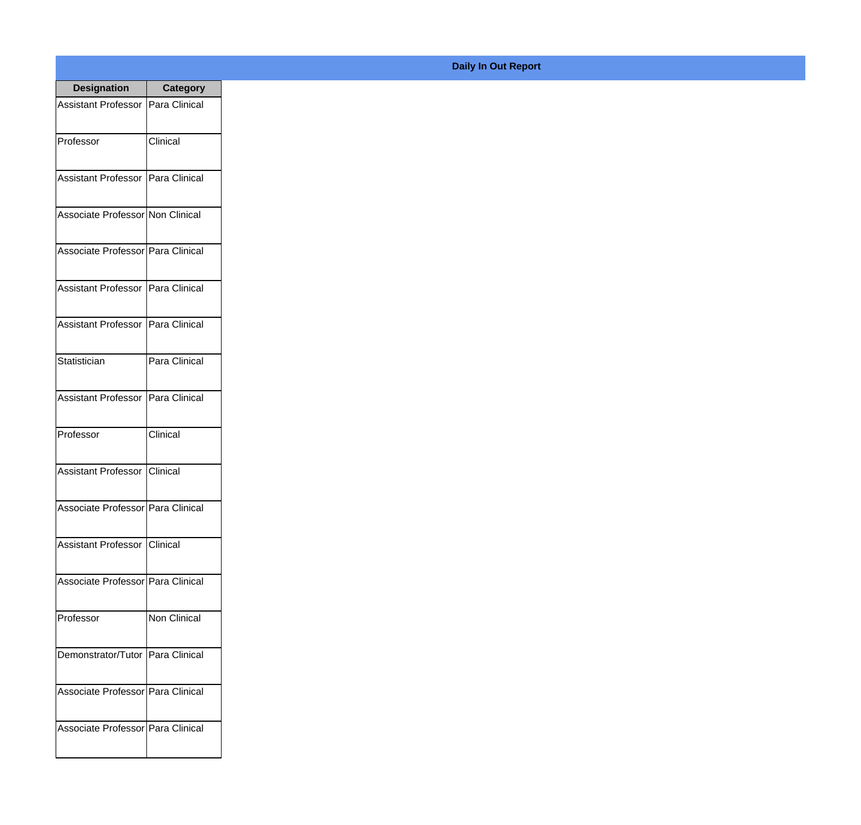| <b>Designation</b>                  | <b>Category</b> |
|-------------------------------------|-----------------|
| Assistant Professor   Para Clinical |                 |
| Professor                           | Clinical        |
| Assistant Professor   Para Clinical |                 |
| Associate Professor Non Clinical    |                 |
| Associate Professor   Para Clinical |                 |
| Assistant Professor   Para Clinical |                 |
| Assistant Professor   Para Clinical |                 |
| Statistician                        | Para Clinical   |
| <b>Assistant Professor</b>          | Para Clinical   |
| Professor                           | Clinical        |
| <b>Assistant Professor</b>          | Clinical        |
| Associate Professor Para Clinical   |                 |
| Assistant Professor   Clinical      |                 |
| Associate Professor   Para Clinical |                 |
| Professor                           | Non Clinical    |
| Demonstrator/Tutor   Para Clinical  |                 |
| Associate Professor   Para Clinical |                 |
| Associate Professor Para Clinical   |                 |

## **Daily In Out Report**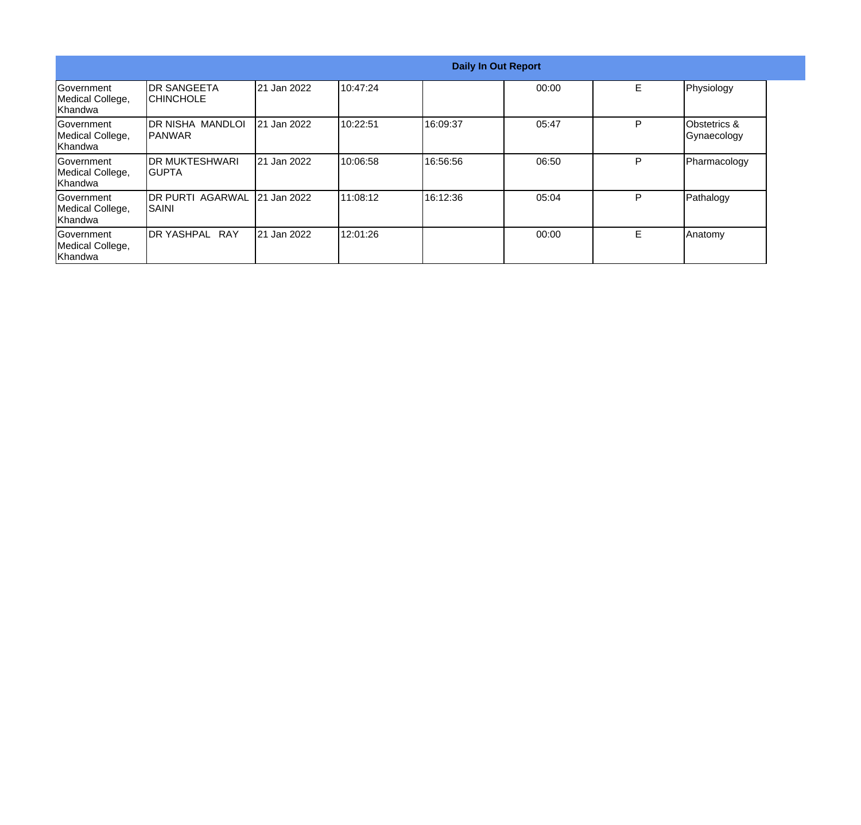|                                                  |                                          |             |          |          | <b>Daily In Out Report</b> |    |                             |
|--------------------------------------------------|------------------------------------------|-------------|----------|----------|----------------------------|----|-----------------------------|
| Government<br>Medical College,<br>Khandwa        | IDR SANGEETA<br>ICHINCHOLE               | 21 Jan 2022 | 10:47:24 |          | 00:00                      | E. | Physiology                  |
| Government<br>Medical College,<br>Khandwa        | IDR NISHA MANDLOI<br>IPANWAR             | 21 Jan 2022 | 10:22:51 | 16:09:37 | 05:47                      | P  | Obstetrics &<br>Gynaecology |
| <b>Sovernment</b><br>Medical College,<br>Khandwa | <b>IDR MUKTESHWARI</b><br>IGUPTA         | 21 Jan 2022 | 10:06:58 | 16:56:56 | 06:50                      | P  | Pharmacology                |
| lGovernment<br>Medical College,<br>Khandwa       | <b>IDR PURTI AGARWAL</b><br><b>SAINI</b> | 21 Jan 2022 | 11:08:12 | 16:12:36 | 05:04                      | P  | Pathalogy                   |
| Government<br>Medical College,<br>Khandwa        | <b>RAY</b><br><b>DR YASHPAL</b>          | 21 Jan 2022 | 12:01:26 |          | 00:00                      | Е  | Anatomy                     |